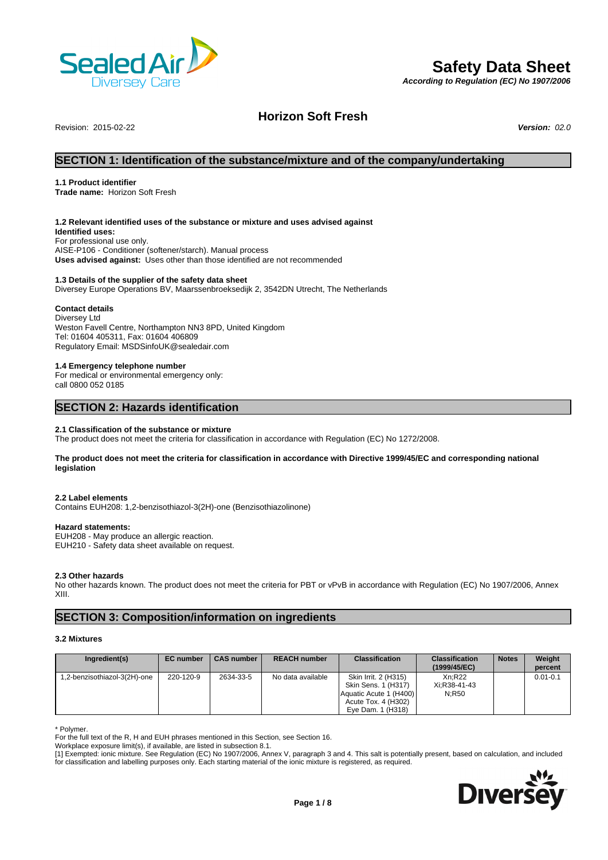

# **Safety Data Sheet**

*According to Regulation (EC) No 1907/2006*

# **Horizon Soft Fresh**

Revision: 2015-02-22 *Version: 02.0*

# **SECTION 1: Identification of the substance/mixture and of the company/undertaking**

## **1.1 Product identifier**

**Trade name:** Horizon Soft Fresh

## **1.2 Relevant identified uses of the substance or mixture and uses advised against**

**Identified uses:** For professional use only. AISE-P106 - Conditioner (softener/starch). Manual process **Uses advised against:** Uses other than those identified are not recommended

### **1.3 Details of the supplier of the safety data sheet**

Diversey Europe Operations BV, Maarssenbroeksedijk 2, 3542DN Utrecht, The Netherlands

## **Contact details**

Diversey Ltd Weston Favell Centre, Northampton NN3 8PD, United Kingdom Tel: 01604 405311, Fax: 01604 406809 Regulatory Email: MSDSinfoUK@sealedair.com

#### **1.4 Emergency telephone number**

For medical or environmental emergency only: call 0800 052 0185

# **SECTION 2: Hazards identification**

### **2.1 Classification of the substance or mixture**

The product does not meet the criteria for classification in accordance with Regulation (EC) No 1272/2008.

#### **The product does not meet the criteria for classification in accordance with Directive 1999/45/EC and corresponding national legislation**

#### **2.2 Label elements**

Contains EUH208: 1,2-benzisothiazol-3(2H)-one (Benzisothiazolinone)

# **Hazard statements:**

EUH208 - May produce an allergic reaction. EUH210 - Safety data sheet available on request.

#### **2.3 Other hazards**

No other hazards known. The product does not meet the criteria for PBT or vPvB in accordance with Regulation (EC) No 1907/2006, Annex XIII.

# **SECTION 3: Composition/information on ingredients**

#### **3.2 Mixtures**

| Ingredient(s)                | <b>EC</b> number | <b>CAS number</b> | <b>REACH number</b> | <b>Classification</b>                                                                                             | <b>Classification</b><br>(1999/45/EC) | <b>Notes</b> | Weight<br>percent |
|------------------------------|------------------|-------------------|---------------------|-------------------------------------------------------------------------------------------------------------------|---------------------------------------|--------------|-------------------|
| 1,2-benzisothiazol-3(2H)-one | 220-120-9        | 2634-33-5         | No data available   | Skin Irrit. 2 (H315)<br>Skin Sens. 1 (H317)<br>Aquatic Acute 1 (H400)<br>Acute Tox. 4 (H302)<br>Eve Dam. 1 (H318) | Xn:R22<br>Xi:R38-41-43<br>N:R50       |              | $0.01 - 0.1$      |

\* Polymer.

For the full text of the R, H and EUH phrases mentioned in this Section, see Section 16.

Workplace exposure limit(s), if available, are listed in subsection 8.1.

[1] Exempted: ionic mixture. See Regulation (EC) No 1907/2006, Annex V, paragraph 3 and 4. This salt is potentially present, based on calculation, and included for classification and labelling purposes only. Each starting material of the ionic mixture is registered, as required.

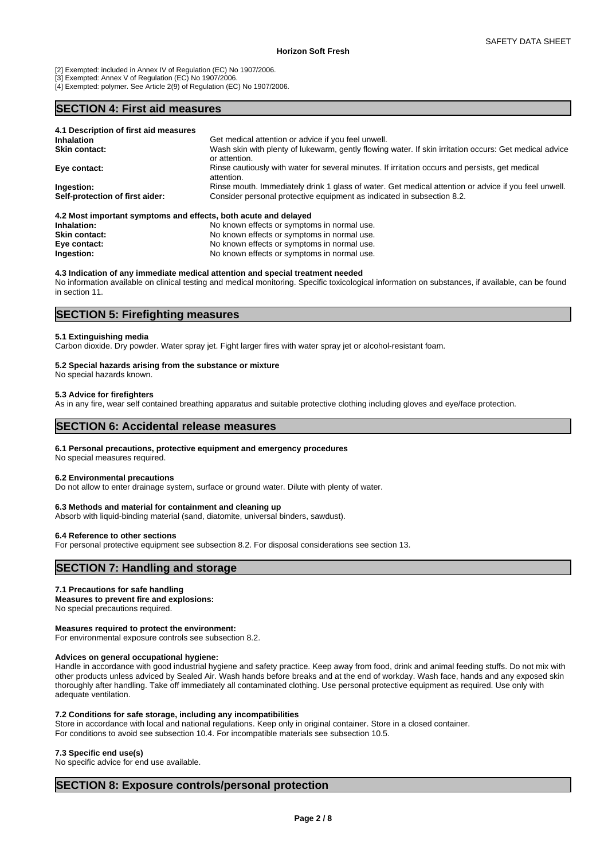[2] Exempted: included in Annex IV of Regulation (EC) No 1907/2006.

[3] Exempted: Annex V of Regulation (EC) No 1907/2006.

[4] Exempted: polymer. See Article 2(9) of Regulation (EC) No 1907/2006.

# **SECTION 4: First aid measures**

| 4.1 Description of first aid measures                           |                                                                                                                         |
|-----------------------------------------------------------------|-------------------------------------------------------------------------------------------------------------------------|
| <b>Inhalation</b>                                               | Get medical attention or advice if you feel unwell.                                                                     |
| <b>Skin contact:</b>                                            | Wash skin with plenty of lukewarm, gently flowing water. If skin irritation occurs: Get medical advice<br>or attention. |
| Eye contact:                                                    | Rinse cautiously with water for several minutes. If irritation occurs and persists, get medical<br>attention.           |
| Ingestion:                                                      | Rinse mouth. Immediately drink 1 glass of water. Get medical attention or advice if you feel unwell.                    |
| Self-protection of first aider:                                 | Consider personal protective equipment as indicated in subsection 8.2.                                                  |
| 4.2 Most important symptoms and effects, both acute and delayed |                                                                                                                         |

| Inhalation:          | No known effects or symptoms in normal use. |
|----------------------|---------------------------------------------|
| <b>Skin contact:</b> | No known effects or symptoms in normal use. |
| Eye contact:         | No known effects or symptoms in normal use. |
| Ingestion:           | No known effects or symptoms in normal use. |

## **4.3 Indication of any immediate medical attention and special treatment needed**

No information available on clinical testing and medical monitoring. Specific toxicological information on substances, if available, can be found in section 11.

# **SECTION 5: Firefighting measures**

#### **5.1 Extinguishing media**

Carbon dioxide. Dry powder. Water spray jet. Fight larger fires with water spray jet or alcohol-resistant foam.

#### **5.2 Special hazards arising from the substance or mixture**

No special hazards known.

#### **5.3 Advice for firefighters**

As in any fire, wear self contained breathing apparatus and suitable protective clothing including gloves and eye/face protection.

## **SECTION 6: Accidental release measures**

#### **6.1 Personal precautions, protective equipment and emergency procedures**

No special measures required.

#### **6.2 Environmental precautions**

Do not allow to enter drainage system, surface or ground water. Dilute with plenty of water.

#### **6.3 Methods and material for containment and cleaning up**

Absorb with liquid-binding material (sand, diatomite, universal binders, sawdust).

#### **6.4 Reference to other sections**

For personal protective equipment see subsection 8.2. For disposal considerations see section 13.

# **SECTION 7: Handling and storage**

#### **7.1 Precautions for safe handling**

**Measures to prevent fire and explosions:**

No special precautions required.

# **Measures required to protect the environment:**

For environmental exposure controls see subsection 8.2.

# **Advices on general occupational hygiene:**

Handle in accordance with good industrial hygiene and safety practice. Keep away from food, drink and animal feeding stuffs. Do not mix with other products unless adviced by Sealed Air. Wash hands before breaks and at the end of workday. Wash face, hands and any exposed skin thoroughly after handling. Take off immediately all contaminated clothing. Use personal protective equipment as required. Use only with adequate ventilation.

### **7.2 Conditions for safe storage, including any incompatibilities**

Store in accordance with local and national regulations. Keep only in original container. Store in a closed container. For conditions to avoid see subsection 10.4. For incompatible materials see subsection 10.5.

#### **7.3 Specific end use(s)**

No specific advice for end use available.

# **SECTION 8: Exposure controls/personal protection**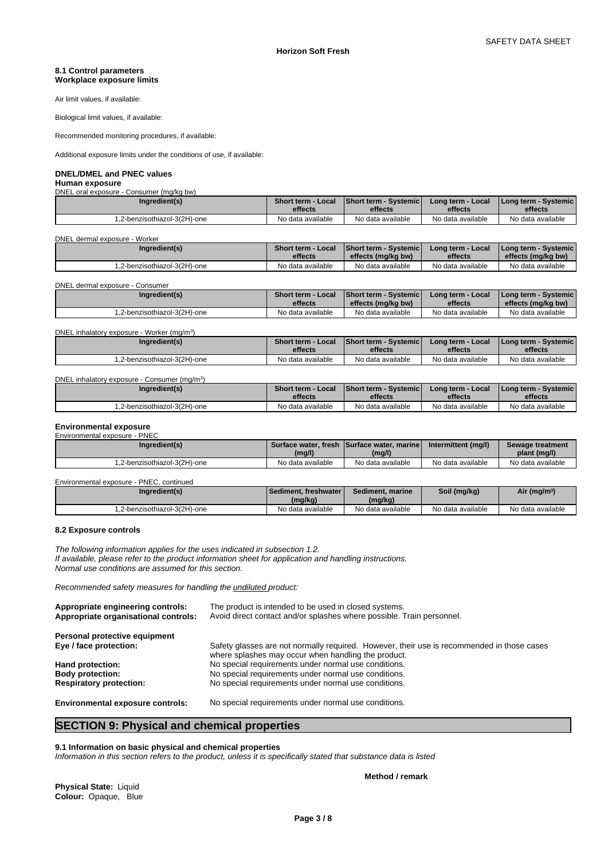#### **8.1 Control parameters Workplace exposure limits**

Air limit values, if available:

Biological limit values, if available:

Recommended monitoring procedures, if available:

Additional exposure limits under the conditions of use, if available:

## **DNEL/DMEL and PNEC values**

#### **Human exposure** ,<br>Consumer (ma/kg bw)

| ו און וסווטט די סווטכּטעס די סוויכט און די די ק |                           |                               |                   |                          |  |  |
|-------------------------------------------------|---------------------------|-------------------------------|-------------------|--------------------------|--|--|
| Ingredient(s)                                   | <b>Short term - Local</b> | <b>Short term - Systemicl</b> | Long term - Local | I Long term - Systemic I |  |  |
|                                                 | effects                   | effects                       | effects           | effects                  |  |  |
| 1,2-benzisothiazol-3(2H)-one                    | No data available         | No data available             | No data available | No data available        |  |  |

DNEL dermal exposure - Worker

| Ingredient(s)                | Short term - Local | Short term - Systemic | Long term - Local | I Long term - Systemic I |
|------------------------------|--------------------|-----------------------|-------------------|--------------------------|
|                              | effects            | effects (mg/kg bw)    | effects           | effects (mg/kg bw)       |
| 1.2-benzisothiazol-3(2H)-one | No data available  | No data available     | No data available | No data available        |

| DNEL dermal exposure - Consumer |                                      |                                                    |                              |                                                       |
|---------------------------------|--------------------------------------|----------------------------------------------------|------------------------------|-------------------------------------------------------|
| Ingredient(s)                   | <b>Short term - Local</b><br>effects | <b>Short term - Systemic</b><br>effects (mg/kg bw) | Long term - Local<br>effects | <b>I Long term - Systemic I</b><br>effects (mg/kg bw) |
| 1.2-benzisothiazol-3(2H)-one    | No data available                    | No data available                                  | No data available            | No data available                                     |

#### DNEL inhalatory exposure - Worker (mg/m<sup>3</sup>  $)$

| DNEL inhalatory exposure - Consumer (mg/m <sup>3</sup> ) |                           |                               |                   |                                 |
|----------------------------------------------------------|---------------------------|-------------------------------|-------------------|---------------------------------|
| Ingredient(s)                                            | <b>Short term - Local</b> | <b>Short term - Systemicl</b> | Long term - Local | <b>I Long term - Systemic I</b> |
|                                                          | effects                   | effects                       | effects           | effects                         |
| .2-benzisothiazol-3(2H)-one                              | No data available         | No data available             | No data available | No data available               |

# **Environmental exposure**<br>Environmental exposure - PNIEC

| Environmental exposure - PNEC |                   |                                            |                     |                   |
|-------------------------------|-------------------|--------------------------------------------|---------------------|-------------------|
| Ingredient(s)                 |                   | Surface water, fresh Surface water, marine | Intermittent (mg/l) | Sewage treatment  |
|                               | (mg/l)            | (mg/l)                                     |                     | plant (mg/l)      |
| 1.2-benzisothiazol-3(2H)-one  | No data available | No data available                          | No data available   | No data available |

| Environmental exposure - I<br>- PNEC. continued |                          |                   |                   |                          |
|-------------------------------------------------|--------------------------|-------------------|-------------------|--------------------------|
| Ingredient(s)                                   | I Sediment, freshwater I | Sediment, marine  | Soil (mg/kg)      | Air (mg/m <sup>3</sup> ) |
|                                                 | (mg/kg)                  | (mg/kg)           |                   |                          |
| 1,2-benzisothiazol-3(2H)-one                    | No data available        | No data available | No data available | No data available        |

### **8.2 Exposure controls**

*The following information applies for the uses indicated in subsection 1.2. If available, please refer to the product information sheet for application and handling instructions. Normal use conditions are assumed for this section.*

*Recommended safety measures for handling the undiluted product:*

| Appropriate engineering controls:<br>Appropriate organisational controls: | The product is intended to be used in closed systems.<br>Avoid direct contact and/or splashes where possible. Train personnel.                    |
|---------------------------------------------------------------------------|---------------------------------------------------------------------------------------------------------------------------------------------------|
| Personal protective equipment                                             |                                                                                                                                                   |
| Eye / face protection:                                                    | Safety glasses are not normally required. However, their use is recommended in those cases<br>where splashes may occur when handling the product. |
| Hand protection:                                                          | No special requirements under normal use conditions.                                                                                              |
| <b>Body protection:</b>                                                   | No special requirements under normal use conditions.                                                                                              |
| <b>Respiratory protection:</b>                                            | No special requirements under normal use conditions.                                                                                              |
| <b>Environmental exposure controls:</b>                                   | No special requirements under normal use conditions.                                                                                              |

# **SECTION 9: Physical and chemical properties**

#### **9.1 Information on basic physical and chemical properties**

*Information in this section refers to the product, unless it is specifically stated that substance data is listed*

**Physical State:** Liquid **Colour:** Opaque, Blue **Method / remark**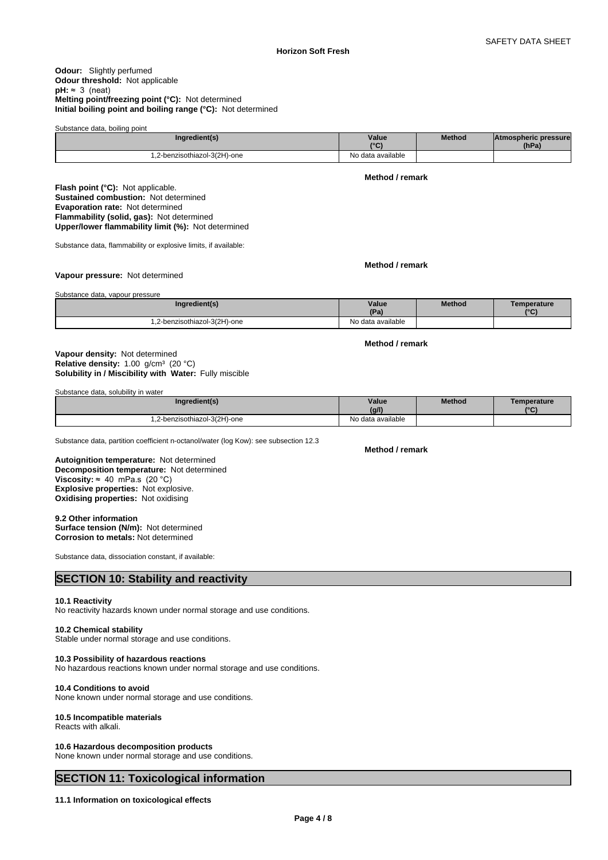### **Odour:** Slightly perfumed **Odour threshold:** Not applicable  $pH: \approx 3$  (neat) **Melting point/freezing point (°C):** Not determined **Initial boiling point and boiling range (°C):** Not determined

| Substance data, boiling point |                   |               |                             |
|-------------------------------|-------------------|---------------|-----------------------------|
| Ingredient(s)                 | Value             | <b>Method</b> | <b>Atmospheric pressure</b> |
|                               | $\sim$            |               | (hPa)                       |
| .2-benzisothiazol-3(2H)-one   | No data available |               |                             |

**Method / remark**

**Method / remark**

**Method / remark**

**Flash point (°C):** Not applicable. **Sustained combustion:** Not determined **Evaporation rate:** Not determined **Flammability (solid, gas):** Not determined **Upper/lower flammability limit (%):** Not determined

Substance data, flammability or explosive limits, if available:

## **Vapour pressure:** Not determined

Substance data, vapour pressure

| Ingredient(s)                        | Value<br>(Pa)     | Method | Temperature<br>$\sim$ |
|--------------------------------------|-------------------|--------|-----------------------|
| 2-benzisothiazol-3(2H)-one<br>$\sim$ | No data available |        |                       |

## **Solubility in / Miscibility with Water:** Fully miscible **Vapour density:** Not determined **Relative density:** 1.00 g/cm<sup>3</sup> (20 °C)

Substance data, solubility in water

| Ingredient(s)              | Value<br>(a  )    | Method | Temperature<br>$10^{\circ}$ |
|----------------------------|-------------------|--------|-----------------------------|
| 2-benzisothiazol-3(2H)-one | No data available |        |                             |

Substance data, partition coefficient n-octanol/water (log Kow): see subsection 12.3

**Decomposition temperature:** Not determined **Autoignition temperature:** Not determined **Viscosity:**  $\approx$  40 mPa.s (20 °C) **Explosive properties:** Not explosive. **Oxidising properties:** Not oxidising

## **9.2 Other information**

**Surface tension (N/m):** Not determined **Corrosion to metals:** Not determined

Substance data, dissociation constant, if available:

# **SECTION 10: Stability and reactivity**

#### **10.1 Reactivity**

No reactivity hazards known under normal storage and use conditions.

#### **10.2 Chemical stability**

Stable under normal storage and use conditions.

### **10.3 Possibility of hazardous reactions**

No hazardous reactions known under normal storage and use conditions.

## **10.4 Conditions to avoid**

None known under normal storage and use conditions.

## **10.5 Incompatible materials**

Reacts with alkali.

#### **10.6 Hazardous decomposition products**

None known under normal storage and use conditions.

# **SECTION 11: Toxicological information**

## **11.1 Information on toxicological effects**

# **Method / remark**

**Page 4 / 8**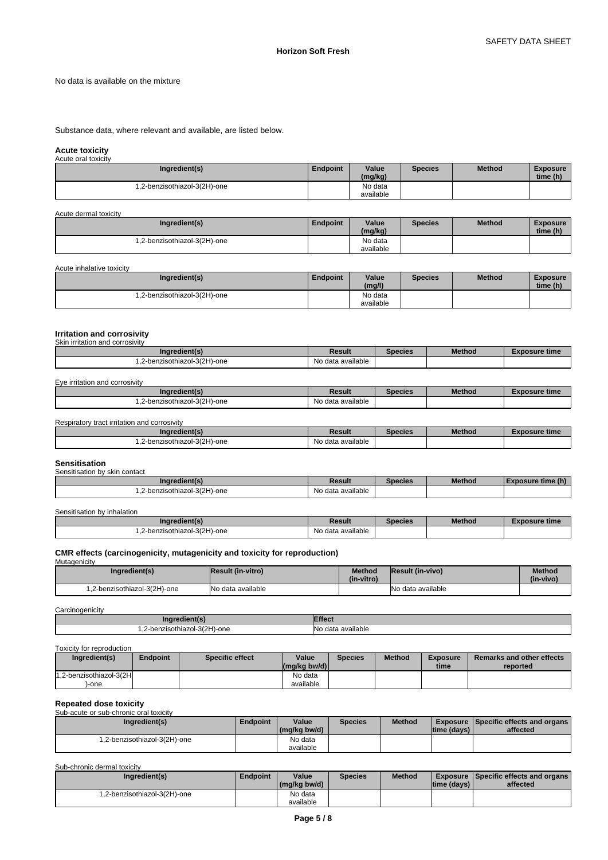No data is available on the mixture

Substance data, where relevant and available, are listed below.

# **Acute toxicity** Acute oral toxicity

| <b>ACULC UTAI LUAIGILY</b>   |                 |                      |                |               |                             |
|------------------------------|-----------------|----------------------|----------------|---------------|-----------------------------|
| Ingredient(s)                | <b>Endpoint</b> | Value<br>(mg/kg)     | <b>Species</b> | <b>Method</b> | <b>Exposure</b><br>time (h) |
| 1,2-benzisothiazol-3(2H)-one |                 | No data<br>available |                |               |                             |

| Acute dermal toxicity        |                 |                      |                |               |                             |  |
|------------------------------|-----------------|----------------------|----------------|---------------|-----------------------------|--|
| Ingredient(s)                | <b>Endpoint</b> | Value<br>(mg/kg)     | <b>Species</b> | <b>Method</b> | <b>Exposure</b><br>time (h) |  |
| 1,2-benzisothiazol-3(2H)-one |                 | No data<br>available |                |               |                             |  |

Acute inhalative toxicity

| Ingredient(s)                | <b>Endpoint</b> | Value<br>(mg/l)      | <b>Species</b> | <b>Method</b> | <b>Exposure</b><br>time (h) |  |
|------------------------------|-----------------|----------------------|----------------|---------------|-----------------------------|--|
| 1,2-benzisothiazol-3(2H)-one |                 | No data<br>available |                |               |                             |  |

# **Irritation and corrosivity** Skin irritation and corrosivity

| Ingredient(s)               | Result                        | <b>Species</b> | <b>Method</b> | <b>Exposure time</b> |
|-----------------------------|-------------------------------|----------------|---------------|----------------------|
| .2-benzisothiazol-3(2H)-one | $\cdots$<br>No data available |                |               |                      |

# Eye irritation and corrosivity

| Ingredient(s)              | Result            | <b>Species</b> | <b>Method</b> | Exposure time |
|----------------------------|-------------------|----------------|---------------|---------------|
| 2-benzisothiazol-3(2H)-one | No data available |                |               |               |

Respiratory tract irritation and corrosivity

| Ingredient(s)                               | Result            | Species | Method | <b>Exposure time</b> |
|---------------------------------------------|-------------------|---------|--------|----------------------|
| $-3(2H)$ -one<br>zisothiazol<br>2-benz<br>. | No data available |         |        |                      |

#### **Sensitisation** ation by skin contact

| <b>OCHORDOMOTI DY JIMII CONGOL</b><br>Ingredient(s) | Result            | pecies | <b>Method</b> | : time (h)<br>Exposure |
|-----------------------------------------------------|-------------------|--------|---------------|------------------------|
| 2-benzisothiazol-3(2H)-one                          | No data available |        |               |                        |

Sensitisation by inhalation

| Ingredient(s)                | Result            | Species | <b>Method</b> | Exposure time |
|------------------------------|-------------------|---------|---------------|---------------|
| 1.2-benzisothiazol-3(2H)-one | No data available |         |               |               |

# **CMR effects (carcinogenicity, mutagenicity and toxicity for reproduction)** Mutagenicity

| Ingredient(s)                | <b>Result (in-vitro)</b> | Method<br>(in-vitro) | <b>Result (in-vivo)</b> | <b>Method</b><br>(in-vivo) |
|------------------------------|--------------------------|----------------------|-------------------------|----------------------------|
| 1,2-benzisothiazol-3(2H)-one | No data available        |                      | No data available       |                            |

#### Carcinogenicity

| <b>UUIUIIUUUIIUI</b>                   |                                              |  |  |  |  |
|----------------------------------------|----------------------------------------------|--|--|--|--|
| ingredient(s                           | IEffect                                      |  |  |  |  |
| -benzisothiazol-3(2H)-one<br>--<br>$-$ | <br><b>N<sub>o</sub></b><br>data available د |  |  |  |  |

#### Toxicity for reproduction

| Ingredient(s)           | <b>Endpoint</b> | <b>Specific effect</b> | Value<br>$\left \frac{\text{mg}}{\text{kg}}\right $ bw/d) | Species | <b>Method</b> | <b>Exposure</b><br>time | <b>Remarks and other effects</b><br>reported |
|-------------------------|-----------------|------------------------|-----------------------------------------------------------|---------|---------------|-------------------------|----------------------------------------------|
| 1,2-benzisothiazol-3(2H |                 |                        | No data                                                   |         |               |                         |                                              |
| )-one                   |                 |                        | available                                                 |         |               |                         |                                              |

# **Repeated dose toxicity**

Sub-acute or sub-chronic oral toxicity

| Ingredient(s)                | Endpoint | Value<br>(mg/kg bw/d) | <b>Species</b> | <b>Method</b> | time (days) | Exposure   Specific effects and organs  <br>affected |
|------------------------------|----------|-----------------------|----------------|---------------|-------------|------------------------------------------------------|
| 1,2-benzisothiazol-3(2H)-one |          | No data<br>available  |                |               |             |                                                      |

Sub-chronic dermal toxicity

| Ingredient(s)               | Endpoint | Value<br>(mg/kg bw/d) | <b>Species</b> | <b>Method</b> | ltime (davs) | <b>Exposure Specific effects and organs</b><br>affected |  |
|-----------------------------|----------|-----------------------|----------------|---------------|--------------|---------------------------------------------------------|--|
| .2-benzisothiazol-3(2H)-one |          | No data<br>available  |                |               |              |                                                         |  |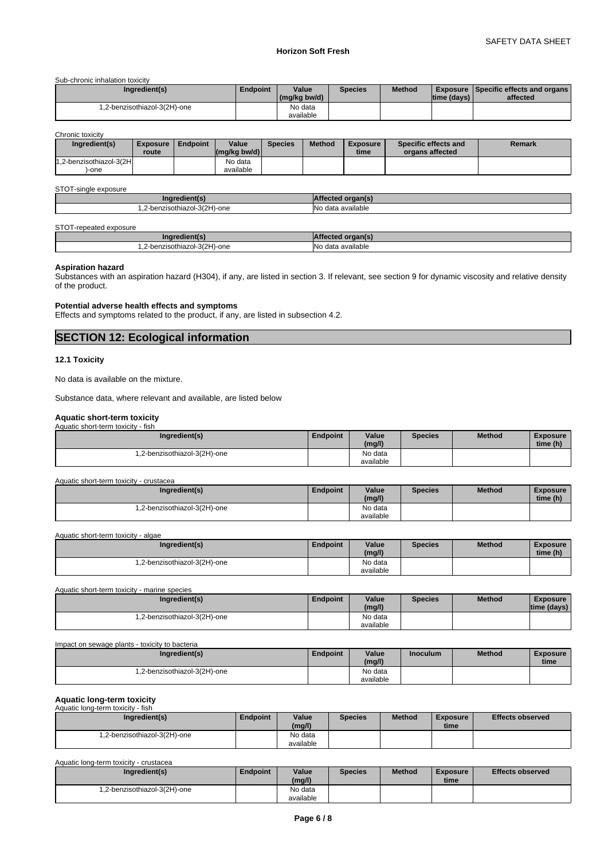Sub-chronic inhalation toxicity

| Ingredient(s)                | Endpoint | Value<br>(mg/kg bw/d) | <b>Species</b> | <b>Method</b> | Itime (davs) | <b>Exposure Specific effects and organs L</b><br>affected |
|------------------------------|----------|-----------------------|----------------|---------------|--------------|-----------------------------------------------------------|
| l.2-benzisothiazol-3(2H)-one |          | No data<br>available  |                |               |              |                                                           |

Chronic toxicity

| <b>UITULITU WAIVILY</b><br>Ingredient(s) | <b>Exposure</b><br>route | Endpoint | Value<br>$(mg/kg$ bw/d) | <b>Species</b> | <b>Method</b> | <b>Exposure</b><br>time | Specific effects and<br>organs affected | Remark |
|------------------------------------------|--------------------------|----------|-------------------------|----------------|---------------|-------------------------|-----------------------------------------|--------|
| 1.2-benzisothiazol-3(2H<br>,-one         |                          |          | No data<br>available    |                |               |                         |                                         |        |

#### STOT-single exposure

| .no<br>. .                                                  |                                     |
|-------------------------------------------------------------|-------------------------------------|
| -benzisothiazol-3(2H)-<br>-one<br>---<br>$-$<br>$\sim$<br>. | <b>No</b><br>available<br>data<br>. |

### STOT-repeated exposure

| Ingredient(s)                | . organ(s)<br>rtected   |
|------------------------------|-------------------------|
| 1.2-benzisothiazol-3(2H)-one | .<br>INo data available |

# **Aspiration hazard**

Substances with an aspiration hazard (H304), if any, are listed in section 3. If relevant, see section 9 for dynamic viscosity and relative density of the product.

# **Potential adverse health effects and symptoms**

Effects and symptoms related to the product, if any, are listed in subsection 4.2.

# **SECTION 12: Ecological information**

## **12.1 Toxicity**

No data is available on the mixture.

Substance data, where relevant and available, are listed below

#### **Aquatic short-term toxicity** Aquatic short-term toxicity - fish

| <b>NUMBER OF STREET IS TO A REPORT</b><br>ווטוו |                 |           |                |               |                 |
|-------------------------------------------------|-----------------|-----------|----------------|---------------|-----------------|
| Ingredient(s)                                   | <b>Endpoint</b> | Value     | <b>Species</b> | <b>Method</b> | <b>Exposure</b> |
|                                                 |                 | (mg/l)    |                |               | time (h)        |
| 1,2-benzisothiazol-3(2H)-one                    |                 | No data   |                |               |                 |
|                                                 |                 | available |                |               |                 |

Aquatic short-term toxicity - crustacea

| Ingredient(s)                | Endpoint | Value<br>(mg/l) | <b>Species</b> | Method | <b>Exposure</b><br>time (h) |
|------------------------------|----------|-----------------|----------------|--------|-----------------------------|
| 1,2-benzisothiazol-3(2H)-one |          | No data         |                |        |                             |
|                              |          | available       |                |        |                             |

Aquatic short-term toxicity - algae

| Ingredient(s)                | Endpoint | Value<br>(mg/l) | <b>Species</b> | <b>Method</b> | <b>Exposure</b><br>time (h) |  |
|------------------------------|----------|-----------------|----------------|---------------|-----------------------------|--|
| 1,2-benzisothiazol-3(2H)-one |          | No data         |                |               |                             |  |
|                              |          | available       |                |               |                             |  |

| Aquatic short-term toxicity - marine species |                 |                      |                |               |                                |
|----------------------------------------------|-----------------|----------------------|----------------|---------------|--------------------------------|
| Ingredient(s)                                | <b>Endpoint</b> | Value<br>(mg/l)      | <b>Species</b> | <b>Method</b> | <b>Exposure</b><br>time (days) |
| .2-benzisothiazol-3(2H)-one                  |                 | No data<br>available |                |               |                                |

| Impact on sewage plants - toxicity to bacteria |                 |           |                 |               |                 |
|------------------------------------------------|-----------------|-----------|-----------------|---------------|-----------------|
| Ingredient(s)                                  | <b>Endpoint</b> | Value     | <b>Inoculum</b> | <b>Method</b> | <b>Exposure</b> |
|                                                |                 | (mg/l)    |                 |               | time            |
| .2-benzisothiazol-3(2H)-one                    |                 | No data   |                 |               |                 |
|                                                |                 | available |                 |               |                 |

#### **Aquatic long-term toxicity** Aquatic long-term toxicity - fish

| Ingredient(s)                | Endpoint | Value<br>(mg/l)      | <b>Species</b> | <b>Method</b> | <b>Exposure</b><br>time | <b>Effects observed</b> |
|------------------------------|----------|----------------------|----------------|---------------|-------------------------|-------------------------|
| 1,2-benzisothiazol-3(2H)-one |          | No data<br>available |                |               |                         |                         |

Aquatic long-term toxicity - crustacea

| Ingredient(s)                | Endpoint | Value<br>(mg/l)      | <b>Species</b> | <b>Method</b> | <b>Exposure</b><br>time | <b>Effects observed</b> |
|------------------------------|----------|----------------------|----------------|---------------|-------------------------|-------------------------|
| l.2-benzisothiazol-3(2H)-one |          | No data<br>available |                |               |                         |                         |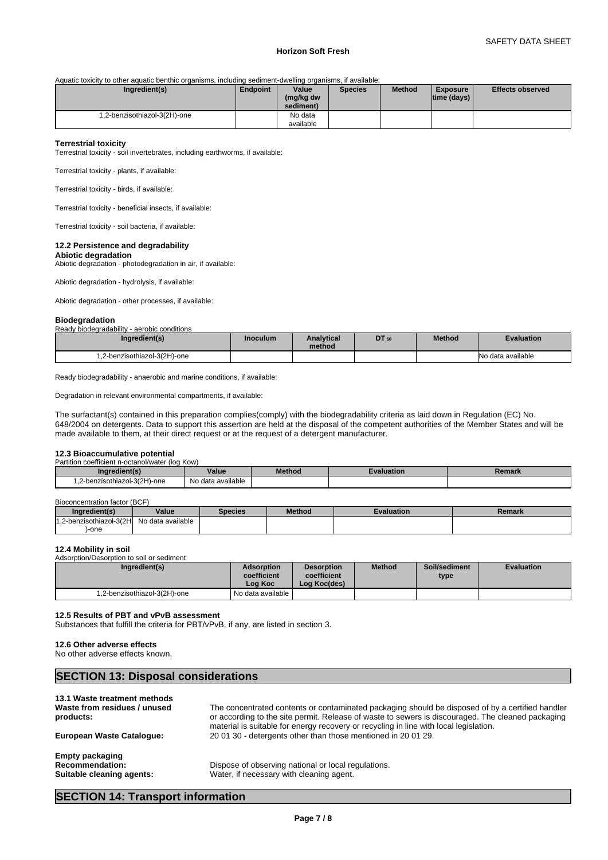## **Horizon Soft Fresh**

Aquatic toxicity to other aquatic benthic organisms, including sediment-dwelling organisms, if available:

| Ingredient(s)                | Endpoint | Value<br>(mg/kg dw<br>sediment) | <b>Species</b> | <b>Method</b> | <b>Exposure</b><br> time (days) | <b>Effects observed</b> |
|------------------------------|----------|---------------------------------|----------------|---------------|---------------------------------|-------------------------|
| 1,2-benzisothiazol-3(2H)-one |          | No data                         |                |               |                                 |                         |
|                              |          | available                       |                |               |                                 |                         |

### **Terrestrial toxicity**

Terrestrial toxicity - soil invertebrates, including earthworms, if available:

Terrestrial toxicity - plants, if available:

Terrestrial toxicity - birds, if available:

Terrestrial toxicity - beneficial insects, if available:

Terrestrial toxicity - soil bacteria, if available:

#### **12.2 Persistence and degradability**

**Abiotic degradation**

Abiotic degradation - photodegradation in air, if available:

Abiotic degradation - hydrolysis, if available:

Abiotic degradation - other processes, if available:

#### **Biodegradation**

| Ready biodegradability - aerobic conditions |  |
|---------------------------------------------|--|
|---------------------------------------------|--|

| Ingredient(s)                | <b>Inoculum</b> | <b>Analytical</b><br>method | <b>DT</b> 50 | <b>Method</b> | <b>Evaluation</b> |  |
|------------------------------|-----------------|-----------------------------|--------------|---------------|-------------------|--|
| 1.2-benzisothiazol-3(2H)-one |                 |                             |              |               | No data available |  |

Ready biodegradability - anaerobic and marine conditions, if available:

Degradation in relevant environmental compartments, if available:

The surfactant(s) contained in this preparation complies(comply) with the biodegradability criteria as laid down in Regulation (EC) No. 648/2004 on detergents. Data to support this assertion are held at the disposal of the competent authorities of the Member States and will be made available to them, at their direct request or at the request of a detergent manufacturer.

# **12.3 Bioaccumulative potential**

| $\cdots$<br>coefficient n-octanol/water (log Kow)<br>Partition |                   |               |           |        |
|----------------------------------------------------------------|-------------------|---------------|-----------|--------|
| Ingredient(s)                                                  | Value             | <b>Method</b> | valuation | Remark |
| 1,2-benzisothiazol-3(2H)-one                                   | No data available |               |           |        |

#### Bioconcentration factor (BCF)

| Ingredient(s)                               | Value             | <b>Species</b> | <b>Method</b> | <b>Evaluation</b> | Remark |
|---------------------------------------------|-------------------|----------------|---------------|-------------------|--------|
| 1.2-benzisothiazol-3(2H $^{\prime}$<br>14.0 | No data available |                |               |                   |        |
| -one                                        |                   |                |               |                   |        |

#### **12.4 Mobility in soil**

Adsorption/Desorption to soil or sediment

| Ingredient(s)                | <b>Adsorption</b><br>coefficient<br>∟oa Koc∴ | <b>Desorption</b><br>coefficient<br>Log Koc(des) | <b>Method</b> | Soil/sediment<br>type | <b>Evaluation</b> |
|------------------------------|----------------------------------------------|--------------------------------------------------|---------------|-----------------------|-------------------|
| 1,2-benzisothiazol-3(2H)-one | No data available i                          |                                                  |               |                       |                   |

# **12.5 Results of PBT and vPvB assessment**

Substances that fulfill the criteria for PBT/vPvB, if any, are listed in section 3.

#### **12.6 Other adverse effects**

No other adverse effects known.

| 13.1 Waste treatment methods                 |                                                                                                                                                                                                                                                                                                |
|----------------------------------------------|------------------------------------------------------------------------------------------------------------------------------------------------------------------------------------------------------------------------------------------------------------------------------------------------|
| Waste from residues / unused<br>products:    | The concentrated contents or contaminated packaging should be disposed of by a certified handler<br>or according to the site permit. Release of waste to sewers is discouraged. The cleaned packaging<br>material is suitable for energy recovery or recycling in line with local legislation. |
| European Waste Catalogue:                    | 200130 - detergents other than those mentioned in 200129.                                                                                                                                                                                                                                      |
| <b>Empty packaging</b>                       |                                                                                                                                                                                                                                                                                                |
| Recommendation:<br>Suitable cleaning agents: | Dispose of observing national or local regulations.<br>Water, if necessary with cleaning agent.                                                                                                                                                                                                |

# **SECTION 14: Transport information**

**SECTION 13: Disposal considerations**